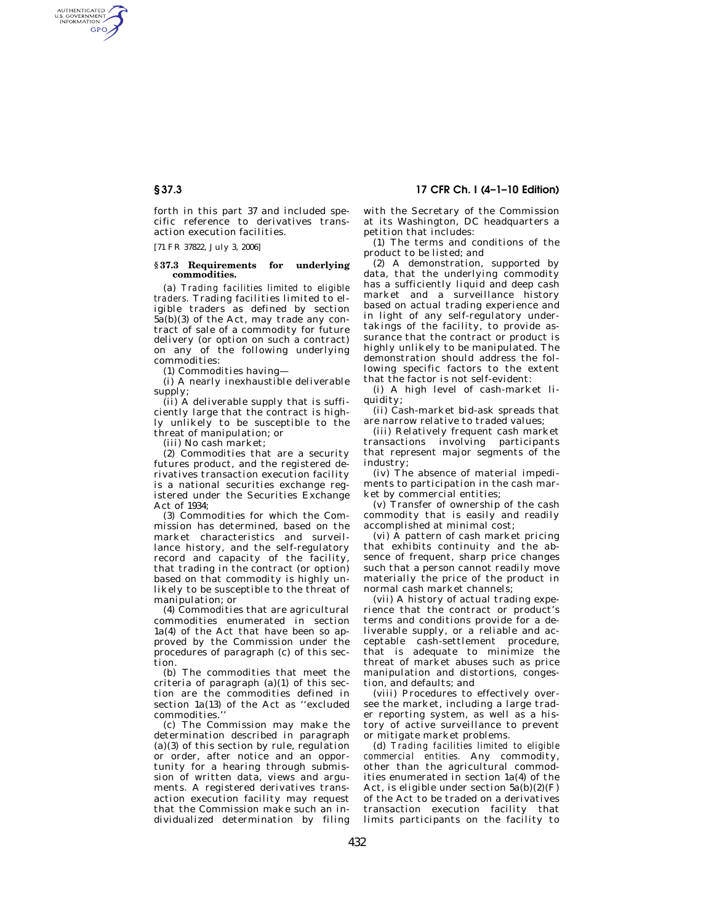AUTHENTICATED<br>U.S. GOVERNMENT<br>INFORMATION GPO

> forth in this part 37 and included specific reference to derivatives transaction execution facilities.

[71 FR 37822, July 3, 2006]

#### **§ 37.3 Requirements for underlying commodities.**

(a) *Trading facilities limited to eligible traders.* Trading facilities limited to eligible traders as defined by section 5a(b)(3) of the Act, may trade any contract of sale of a commodity for future delivery (or option on such a contract) on any of the following underlying commodities:

(1) Commodities having—

(i) A nearly inexhaustible deliverable supply;

(ii) A deliverable supply that is sufficiently large that the contract is highly unlikely to be susceptible to the threat of manipulation; or

(iii) No cash market;

(2) Commodities that are a security futures product, and the registered derivatives transaction execution facility is a national securities exchange registered under the Securities Exchange Act of  $1934$ 

(3) Commodities for which the Commission has determined, based on the market characteristics and surveillance history, and the self-regulatory record and capacity of the facility, that trading in the contract (or option) based on that commodity is highly unlikely to be susceptible to the threat of manipulation; or

(4) Commodities that are agricultural commodities enumerated in section 1a(4) of the Act that have been so approved by the Commission under the procedures of paragraph (c) of this section.

(b) The commodities that meet the criteria of paragraph (a)(1) of this section are the commodities defined in section 1a(13) of the Act as ''excluded commodities.''

(c) The Commission may make the determination described in paragraph (a)(3) of this section by rule, regulation or order, after notice and an opportunity for a hearing through submission of written data, views and arguments. A registered derivatives transaction execution facility may request that the Commission make such an individualized determination by filing

**§ 37.3 17 CFR Ch. I (4–1–10 Edition)** 

with the Secretary of the Commission at its Washington, DC headquarters a petition that includes:

(1) The terms and conditions of the product to be listed; and

(2) A demonstration, supported by data, that the underlying commodity has a sufficiently liquid and deep cash market and a surveillance history based on actual trading experience and in light of any self-regulatory undertakings of the facility, to provide assurance that the contract or product is highly unlikely to be manipulated. The demonstration should address the following specific factors to the extent that the factor is not self-evident:

(i) A high level of cash-market liquidity;

(ii) Cash-market bid-ask spreads that are narrow relative to traded values;

(iii) Relatively frequent cash market transactions involving participants that represent major segments of the industry;

(iv) The absence of material impediments to participation in the cash market by commercial entities;

(v) Transfer of ownership of the cash commodity that is easily and readily accomplished at minimal cost;

(vi) A pattern of cash market pricing that exhibits continuity and the absence of frequent, sharp price changes such that a person cannot readily move materially the price of the product in normal cash market channels;

(vii) A history of actual trading experience that the contract or product's terms and conditions provide for a deliverable supply, or a reliable and acceptable cash-settlement procedure, that is adequate to minimize the threat of market abuses such as price manipulation and distortions, congestion, and defaults; and

(viii) Procedures to effectively oversee the market, including a large trader reporting system, as well as a history of active surveillance to prevent or mitigate market problems.

(d) *Trading facilities limited to eligible commercial entities.* Any commodity, other than the agricultural commodities enumerated in section 1a(4) of the Act, is eligible under section  $5a(b)(2)(F)$ of the Act to be traded on a derivatives transaction execution facility that limits participants on the facility to